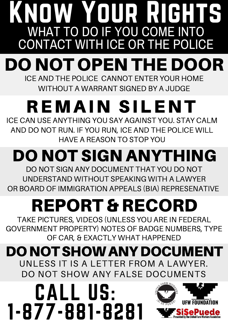### KNOW YOUR RIGHTS WHAT TO DO IF YOU COME INTO CONTACT WITH ICE OR THE POLICE DO NOT OPEN THE DOOR ICE AND THE POLICE CANNOT ENTER YOUR HOME

WITHOUT A WARRANT SIGNED BY A JUDGE

# REMAIN SILENT

ICE CAN USE ANYTHING YOU SAY AGAINST YOU. STAY CALM AND DO NOT RUN. IF YOU RUN, ICE AND THE POLICE WILL HAVE A REASON TO STOP YOU

#### DO NOT SIGN ANYTHING DO NOT SIGN ANY DOCUMENT THAT YOU DO NOT

UNDERSTAND WITHOUT SPEAKING WITH A LAWYER OR BOARD OF IMMIGRATION APPEALS (BIA) REPRESENATIVE

# REPORT & RECORD

TAKE PICTURES, VIDEOS (UNLESS YOU ARE IN FEDERAL GOVERNMENT PROPERTY) NOTES OF BADGE NUMBERS, TYPE OF CAR, & EXACTLY WHAT HAPPENED

#### DONOTSHOWANYDOCUMENT UNLESS IT IS A LETTER FROM A LAWYER. DO NOT SHOW ANY FALSE DOCUMENTS

CALL US: 1-877-881-8281